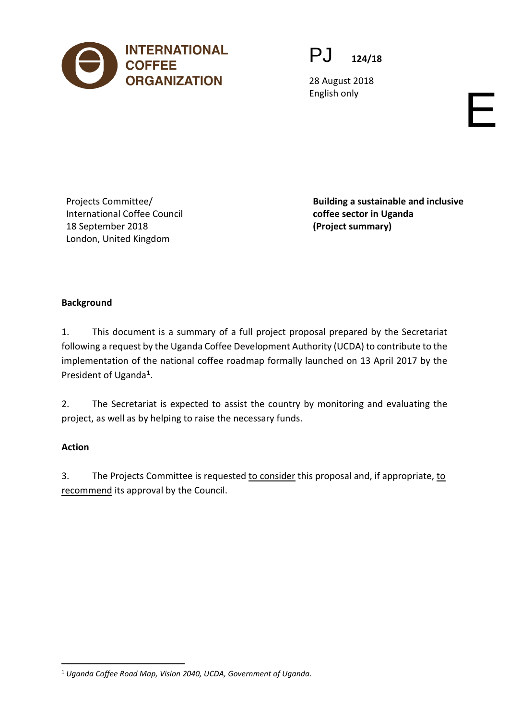

PJ **124/18**

28 August 2018 English only experience of the control of the control of the control of the control of the control of the control of the control of the control of the control of the control of the control of the control of the control of

Projects Committee/ International Coffee Council 18 September 2018 London, United Kingdom

**Building a sustainable and inclusive coffee sector in Uganda (Project summary)**

# **Background**

1. This document is a summary of a full project proposal prepared by the Secretariat following a request by the Uganda Coffee Development Authority (UCDA) to contribute to the implementation of the national coffee roadmap formally launched on 13 April 2017 by the President of Uganda**[1](#page-0-0)**.

2. The Secretariat is expected to assist the country by monitoring and evaluating the project, as well as by helping to raise the necessary funds.

## **Action**

3. The Projects Committee is requested to consider this proposal and, if appropriate, to recommend its approval by the Council.

<span id="page-0-0"></span> <sup>1</sup> *Uganda Coffee Road Map, Vision 2040, UCDA, Government of Uganda.*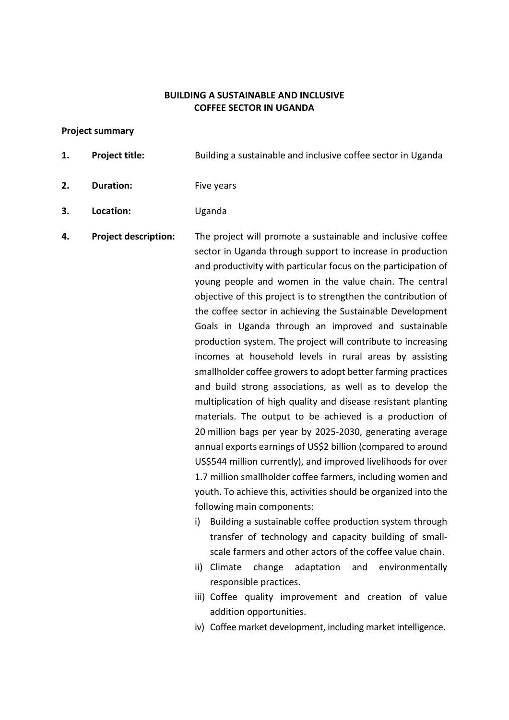### **BUILDING A SUSTAINABLE AND INCLUSIVE COFFEE SECTOR IN UGANDA**

#### **Project summary**

- **1. Project title:** Building a sustainable and inclusive coffee sector in Uganda
- **2. Duration:** Five years
- **3. Location:** Uganda

**4. Project description:** The project will promote a sustainable and inclusive coffee sector in Uganda through support to increase in production and productivity with particular focus on the participation of young people and women in the value chain. The central objective of this project is to strengthen the contribution of the coffee sector in achieving the Sustainable Development Goals in Uganda through an improved and sustainable production system. The project will contribute to increasing incomes at household levels in rural areas by assisting smallholder coffee growers to adopt better farming practices and build strong associations, as well as to develop the multiplication of high quality and disease resistant planting materials. The output to be achieved is a production of 20 million bags per year by 2025-2030, generating average annual exports earnings of US\$2 billion (compared to around US\$544 million currently), and improved livelihoods for over 1.7 million smallholder coffee farmers, including women and youth. To achieve this, activities should be organized into the following main components: i) Building a sustainable coffee production system through

- transfer of technology and capacity building of smallscale farmers and other actors of the coffee value chain.
- ii) Climate change adaptation and environmentally responsible practices.
- iii) Coffee quality improvement and creation of value addition opportunities.
- iv) Coffee market development, including market intelligence.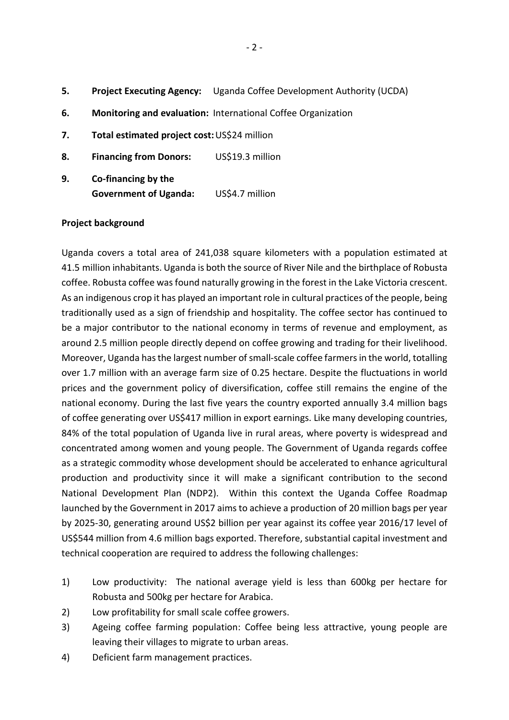- **5. Project Executing Agency:** Uganda Coffee Development Authority (UCDA)
- **6. Monitoring and evaluation:** International Coffee Organization
- **7. Total estimated project cost:**US\$24 million
- **8. Financing from Donors:** US\$19.3 million
- **9. Co-financing by the Government of Uganda:** US\$4.7 million

### **Project background**

Uganda covers a total area of 241,038 square kilometers with a population estimated at 41.5 million inhabitants. Uganda is both the source of River Nile and the birthplace of Robusta coffee. Robusta coffee was found naturally growing in the forest in the Lake Victoria crescent. As an indigenous crop it has played an important role in cultural practices of the people, being traditionally used as a sign of friendship and hospitality. The coffee sector has continued to be a major contributor to the national economy in terms of revenue and employment, as around 2.5 million people directly depend on coffee growing and trading for their livelihood. Moreover, Uganda has the largest number of small-scale coffee farmers in the world, totalling over 1.7 million with an average farm size of 0.25 hectare. Despite the fluctuations in world prices and the government policy of diversification, coffee still remains the engine of the national economy. During the last five years the country exported annually 3.4 million bags of coffee generating over US\$417 million in export earnings. Like many developing countries, 84% of the total population of Uganda live in rural areas, where poverty is widespread and concentrated among women and young people. The Government of Uganda regards coffee as a strategic commodity whose development should be accelerated to enhance agricultural production and productivity since it will make a significant contribution to the second National Development Plan (NDP2). Within this context the Uganda Coffee Roadmap launched by the Government in 2017 aims to achieve a production of 20 million bags per year by 2025-30, generating around US\$2 billion per year against its coffee year 2016/17 level of US\$544 million from 4.6 million bags exported. Therefore, substantial capital investment and technical cooperation are required to address the following challenges:

- 1) Low productivity: The national average yield is less than 600kg per hectare for Robusta and 500kg per hectare for Arabica.
- 2) Low profitability for small scale coffee growers.
- 3) Ageing coffee farming population: Coffee being less attractive, young people are leaving their villages to migrate to urban areas.
- 4) Deficient farm management practices.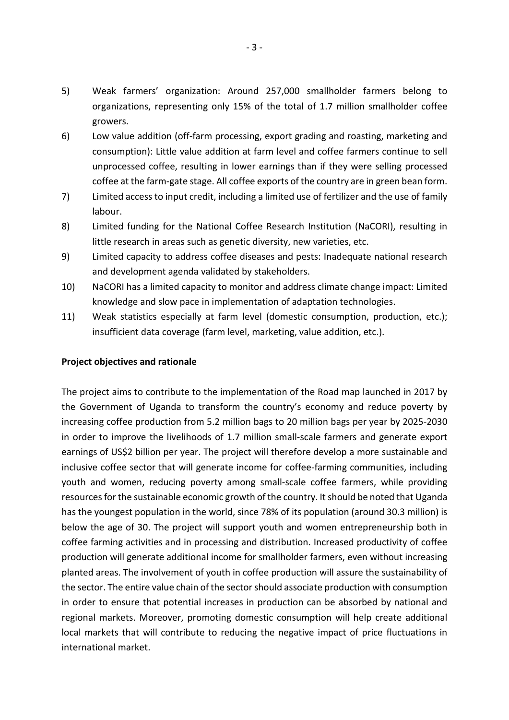- 5) Weak farmers' organization: Around 257,000 smallholder farmers belong to organizations, representing only 15% of the total of 1.7 million smallholder coffee growers.
- 6) Low value addition (off-farm processing, export grading and roasting, marketing and consumption): Little value addition at farm level and coffee farmers continue to sell unprocessed coffee, resulting in lower earnings than if they were selling processed coffee at the farm-gate stage. All coffee exports of the country are in green bean form.
- 7) Limited access to input credit, including a limited use of fertilizer and the use of family labour.
- 8) Limited funding for the National Coffee Research Institution (NaCORI), resulting in little research in areas such as genetic diversity, new varieties, etc.
- 9) Limited capacity to address coffee diseases and pests: Inadequate national research and development agenda validated by stakeholders.
- 10) NaCORI has a limited capacity to monitor and address climate change impact: Limited knowledge and slow pace in implementation of adaptation technologies.
- 11) Weak statistics especially at farm level (domestic consumption, production, etc.); insufficient data coverage (farm level, marketing, value addition, etc.).

### **Project objectives and rationale**

The project aims to contribute to the implementation of the Road map launched in 2017 by the Government of Uganda to transform the country's economy and reduce poverty by increasing coffee production from 5.2 million bags to 20 million bags per year by 2025-2030 in order to improve the livelihoods of 1.7 million small-scale farmers and generate export earnings of US\$2 billion per year. The project will therefore develop a more sustainable and inclusive coffee sector that will generate income for coffee-farming communities, including youth and women, reducing poverty among small-scale coffee farmers, while providing resources for the sustainable economic growth of the country. It should be noted that Uganda has the youngest population in the world, since 78% of its population (around 30.3 million) is below the age of 30. The project will support youth and women entrepreneurship both in coffee farming activities and in processing and distribution. Increased productivity of coffee production will generate additional income for smallholder farmers, even without increasing planted areas. The involvement of youth in coffee production will assure the sustainability of the sector. The entire value chain of the sector should associate production with consumption in order to ensure that potential increases in production can be absorbed by national and regional markets. Moreover, promoting domestic consumption will help create additional local markets that will contribute to reducing the negative impact of price fluctuations in international market.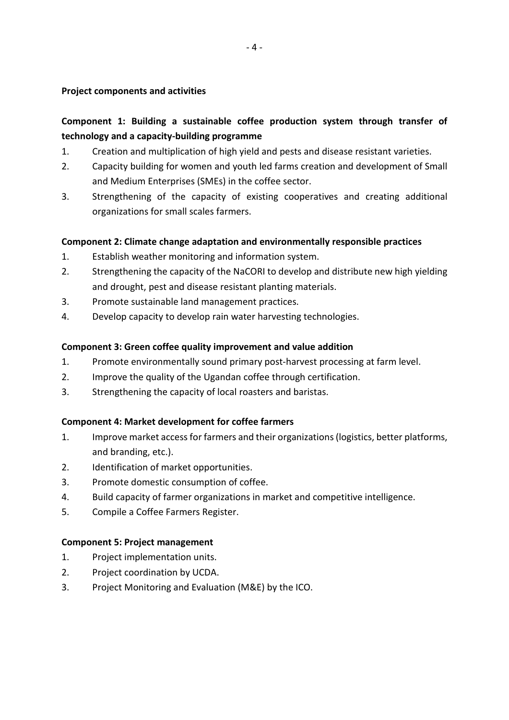### **Project components and activities**

# **Component 1: Building a sustainable coffee production system through transfer of technology and a capacity-building programme**

- 1. Creation and multiplication of high yield and pests and disease resistant varieties.
- 2. Capacity building for women and youth led farms creation and development of Small and Medium Enterprises (SMEs) in the coffee sector.
- 3. Strengthening of the capacity of existing cooperatives and creating additional organizations for small scales farmers.

### **Component 2: Climate change adaptation and environmentally responsible practices**

- 1. Establish weather monitoring and information system.
- 2. Strengthening the capacity of the NaCORI to develop and distribute new high yielding and drought, pest and disease resistant planting materials.
- 3. Promote sustainable land management practices.
- 4. Develop capacity to develop rain water harvesting technologies.

### **Component 3: Green coffee quality improvement and value addition**

- 1. Promote environmentally sound primary post-harvest processing at farm level.
- 2. Improve the quality of the Ugandan coffee through certification.
- 3. Strengthening the capacity of local roasters and baristas.

### **Component 4: Market development for coffee farmers**

- 1. Improve market access for farmers and their organizations(logistics, better platforms, and branding, etc.).
- 2. Identification of market opportunities.
- 3. Promote domestic consumption of coffee.
- 4. Build capacity of farmer organizations in market and competitive intelligence.
- 5. Compile a Coffee Farmers Register.

### **Component 5: Project management**

- 1. Project implementation units.
- 2. Project coordination by UCDA.
- 3. Project Monitoring and Evaluation (M&E) by the ICO.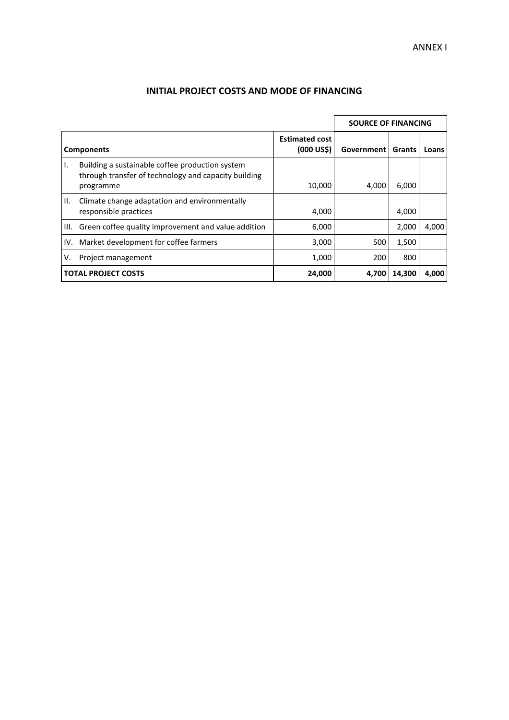|     |                                                                                                                      |                                        | <b>SOURCE OF FINANCING</b> |        |       |  |
|-----|----------------------------------------------------------------------------------------------------------------------|----------------------------------------|----------------------------|--------|-------|--|
|     | <b>Components</b>                                                                                                    | <b>Estimated cost</b><br>$(000 \cup S$ | Government                 | Grants | Loans |  |
|     | Building a sustainable coffee production system<br>through transfer of technology and capacity building<br>programme | 10,000                                 | 4,000                      | 6,000  |       |  |
| II. | Climate change adaptation and environmentally<br>responsible practices                                               | 4,000                                  |                            | 4,000  |       |  |
|     | III. Green coffee quality improvement and value addition                                                             | 6,000                                  |                            | 2,000  | 4.000 |  |
|     | IV. Market development for coffee farmers                                                                            | 3,000                                  | 500                        | 1,500  |       |  |
| v.  | Project management                                                                                                   | 1,000                                  | 200                        | 800    |       |  |
|     | <b>TOTAL PROJECT COSTS</b>                                                                                           | 24,000                                 | 4.700                      | 14.300 | 4.000 |  |

## **INITIAL PROJECT COSTS AND MODE OF FINANCING**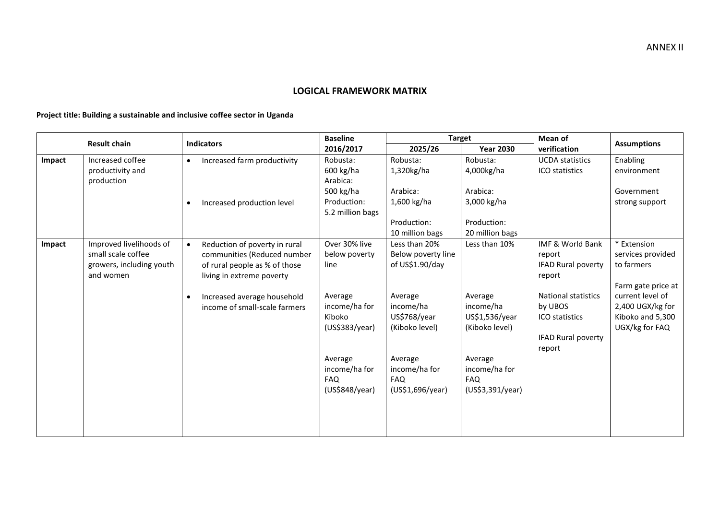### **LOGICAL FRAMEWORK MATRIX**

**Project title: Building a sustainable and inclusive coffee sector in Uganda**

|        |                          | <b>Indicators</b>                                                         | <b>Baseline</b>          | <b>Target</b>        |                      | <b>Mean of</b>                        | <b>Assumptions</b>                   |
|--------|--------------------------|---------------------------------------------------------------------------|--------------------------|----------------------|----------------------|---------------------------------------|--------------------------------------|
|        | <b>Result chain</b>      |                                                                           | 2016/2017                | 2025/26              | <b>Year 2030</b>     | verification                          |                                      |
| Impact | Increased coffee         | Increased farm productivity<br>$\bullet$                                  | Robusta:                 | Robusta:             | Robusta:             | <b>UCDA</b> statistics                | Enabling                             |
|        | productivity and         |                                                                           | 600 kg/ha                | 1,320kg/ha           | 4,000kg/ha           | ICO statistics                        | environment                          |
|        | production               |                                                                           | Arabica:                 |                      |                      |                                       |                                      |
|        |                          |                                                                           | 500 kg/ha                | Arabica:             | Arabica:             |                                       | Government                           |
|        |                          | Increased production level<br>$\bullet$                                   | Production:              | 1,600 kg/ha          | 3,000 kg/ha          |                                       | strong support                       |
|        |                          |                                                                           | 5.2 million bags         |                      |                      |                                       |                                      |
|        |                          |                                                                           |                          | Production:          | Production:          |                                       |                                      |
|        |                          |                                                                           |                          | 10 million bags      | 20 million bags      |                                       |                                      |
| Impact | Improved livelihoods of  | Reduction of poverty in rural<br>$\bullet$                                | Over 30% live            | Less than 20%        | Less than 10%        | IMF & World Bank                      | * Extension                          |
|        | small scale coffee       | communities (Reduced number                                               | below poverty            | Below poverty line   |                      | report                                | services provided                    |
|        | growers, including youth | of rural people as % of those                                             | line                     | of US\$1.90/day      |                      | <b>IFAD Rural poverty</b>             | to farmers                           |
|        | and women                | living in extreme poverty                                                 |                          |                      |                      | report                                |                                      |
|        |                          |                                                                           |                          |                      |                      |                                       | Farm gate price at                   |
|        |                          | Increased average household<br>$\bullet$<br>income of small-scale farmers | Average<br>income/ha for | Average<br>income/ha | Average<br>income/ha | <b>National statistics</b><br>by UBOS | current level of<br>2,400 UGX/kg for |
|        |                          |                                                                           | Kiboko                   | US\$768/year         | US\$1,536/year       | ICO statistics                        | Kiboko and 5,300                     |
|        |                          |                                                                           | (US\$383/year)           | (Kiboko level)       | (Kiboko level)       |                                       | UGX/kg for FAQ                       |
|        |                          |                                                                           |                          |                      |                      | <b>IFAD Rural poverty</b>             |                                      |
|        |                          |                                                                           |                          |                      |                      | report                                |                                      |
|        |                          |                                                                           | Average                  | Average              | Average              |                                       |                                      |
|        |                          |                                                                           | income/ha for            | income/ha for        | income/ha for        |                                       |                                      |
|        |                          |                                                                           | <b>FAQ</b>               | <b>FAQ</b>           | FAQ                  |                                       |                                      |
|        |                          |                                                                           | (US\$848/year)           | (US\$1,696/year)     | (US\$3,391/year)     |                                       |                                      |
|        |                          |                                                                           |                          |                      |                      |                                       |                                      |
|        |                          |                                                                           |                          |                      |                      |                                       |                                      |
|        |                          |                                                                           |                          |                      |                      |                                       |                                      |
|        |                          |                                                                           |                          |                      |                      |                                       |                                      |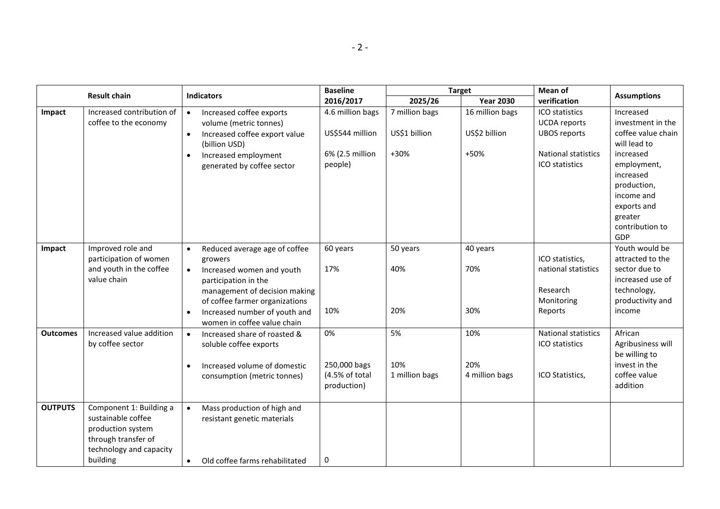|                 |                                                                                                                                  |                                                                                                                                                                                                                                                            | <b>Baseline</b>                                     |                                 | <b>Target</b>                    | Mean of                                                                     |                                                                                                                        |
|-----------------|----------------------------------------------------------------------------------------------------------------------------------|------------------------------------------------------------------------------------------------------------------------------------------------------------------------------------------------------------------------------------------------------------|-----------------------------------------------------|---------------------------------|----------------------------------|-----------------------------------------------------------------------------|------------------------------------------------------------------------------------------------------------------------|
|                 | <b>Result chain</b>                                                                                                              | <b>Indicators</b>                                                                                                                                                                                                                                          | 2016/2017                                           | 2025/26                         | <b>Year 2030</b>                 | verification                                                                | <b>Assumptions</b>                                                                                                     |
| Impact          | Increased contribution of<br>coffee to the economy                                                                               | Increased coffee exports<br>$\bullet$<br>volume (metric tonnes)<br>Increased coffee export value<br>$\bullet$<br>(billion USD)                                                                                                                             | 4.6 million bags<br>US\$544 million                 | 7 million bags<br>US\$1 billion | 16 million bags<br>US\$2 billion | ICO statistics<br><b>UCDA</b> reports<br><b>UBOS reports</b>                | Increased<br>investment in the<br>coffee value chain<br>will lead to                                                   |
|                 |                                                                                                                                  | Increased employment<br>$\bullet$<br>generated by coffee sector                                                                                                                                                                                            | 6% (2.5 million<br>people)                          | +30%                            | +50%                             | <b>National statistics</b><br>ICO statistics                                | increased<br>employment,<br>increased<br>production,<br>income and<br>exports and<br>greater<br>contribution to<br>GDP |
| Impact          | Improved role and<br>participation of women<br>and youth in the coffee<br>value chain                                            | Reduced average age of coffee<br>$\bullet$<br>growers<br>Increased women and youth<br>participation in the<br>management of decision making<br>of coffee farmer organizations<br>Increased number of youth and<br>$\bullet$<br>women in coffee value chain | 60 years<br>17%<br>10%                              | 50 years<br>40%<br>20%          | 40 years<br>70%<br>30%           | ICO statistics,<br>national statistics<br>Research<br>Monitoring<br>Reports | Youth would be<br>attracted to the<br>sector due to<br>increased use of<br>technology,<br>productivity and<br>income   |
| <b>Outcomes</b> | Increased value addition<br>by coffee sector                                                                                     | Increased share of roasted &<br>$\bullet$<br>soluble coffee exports<br>Increased volume of domestic<br>$\bullet$<br>consumption (metric tonnes)                                                                                                            | 0%<br>250,000 bags<br>(4.5% of total<br>production) | 5%<br>10%<br>1 million bags     | 10%<br>20%<br>4 million bags     | <b>National statistics</b><br>ICO statistics<br>ICO Statistics,             | African<br>Agribusiness will<br>be willing to<br>invest in the<br>coffee value<br>addition                             |
| <b>OUTPUTS</b>  | Component 1: Building a<br>sustainable coffee<br>production system<br>through transfer of<br>technology and capacity<br>building | Mass production of high and<br>$\bullet$<br>resistant genetic materials<br>Old coffee farms rehabilitated<br>$\bullet$                                                                                                                                     | 0                                                   |                                 |                                  |                                                                             |                                                                                                                        |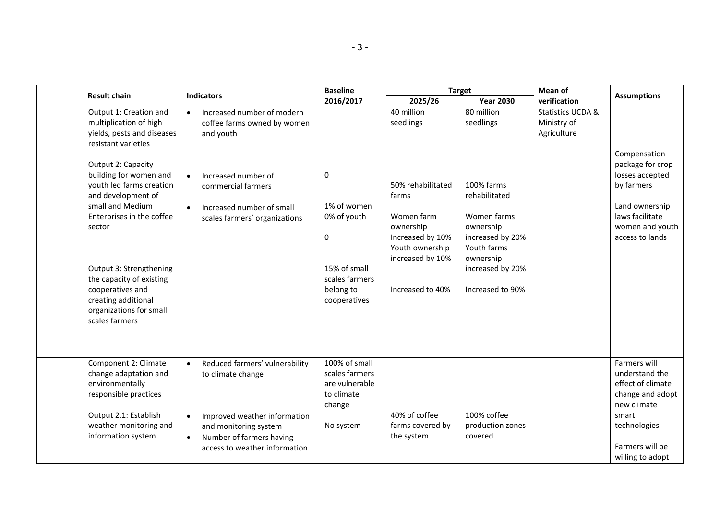| <b>Result chain</b>                                                                                                                                                                                                                                                                                      | <b>Indicators</b>                                                                                                                                                                                   | <b>Baseline</b>                                                                                               | <b>Target</b>                                                                                                                        |                                                                                                                                                 | Mean of                                                    | <b>Assumptions</b>                                                                                                                                     |
|----------------------------------------------------------------------------------------------------------------------------------------------------------------------------------------------------------------------------------------------------------------------------------------------------------|-----------------------------------------------------------------------------------------------------------------------------------------------------------------------------------------------------|---------------------------------------------------------------------------------------------------------------|--------------------------------------------------------------------------------------------------------------------------------------|-------------------------------------------------------------------------------------------------------------------------------------------------|------------------------------------------------------------|--------------------------------------------------------------------------------------------------------------------------------------------------------|
|                                                                                                                                                                                                                                                                                                          |                                                                                                                                                                                                     | 2016/2017                                                                                                     | 2025/26                                                                                                                              | <b>Year 2030</b>                                                                                                                                | verification                                               |                                                                                                                                                        |
| Output 1: Creation and<br>multiplication of high<br>yields, pests and diseases<br>resistant varieties                                                                                                                                                                                                    | Increased number of modern<br>coffee farms owned by women<br>and youth                                                                                                                              |                                                                                                               | 40 million<br>seedlings                                                                                                              | 80 million<br>seedlings                                                                                                                         | <b>Statistics UCDA &amp;</b><br>Ministry of<br>Agriculture | Compensation                                                                                                                                           |
| Output 2: Capacity<br>building for women and<br>youth led farms creation<br>and development of<br>small and Medium<br>Enterprises in the coffee<br>sector<br>Output 3: Strengthening<br>the capacity of existing<br>cooperatives and<br>creating additional<br>organizations for small<br>scales farmers | Increased number of<br>$\bullet$<br>commercial farmers<br>Increased number of small<br>$\bullet$<br>scales farmers' organizations                                                                   | 0<br>1% of women<br>0% of youth<br>$\mathbf 0$<br>15% of small<br>scales farmers<br>belong to<br>cooperatives | 50% rehabilitated<br>farms<br>Women farm<br>ownership<br>Increased by 10%<br>Youth ownership<br>increased by 10%<br>Increased to 40% | 100% farms<br>rehabilitated<br>Women farms<br>ownership<br>increased by 20%<br>Youth farms<br>ownership<br>increased by 20%<br>Increased to 90% |                                                            | package for crop<br>losses accepted<br>by farmers<br>Land ownership<br>laws facilitate<br>women and youth<br>access to lands                           |
| Component 2: Climate<br>change adaptation and<br>environmentally<br>responsible practices<br>Output 2.1: Establish<br>weather monitoring and<br>information system                                                                                                                                       | Reduced farmers' vulnerability<br>to climate change<br>Improved weather information<br>$\bullet$<br>and monitoring system<br>Number of farmers having<br>$\bullet$<br>access to weather information | 100% of small<br>scales farmers<br>are vulnerable<br>to climate<br>change<br>No system                        | 40% of coffee<br>farms covered by<br>the system                                                                                      | 100% coffee<br>production zones<br>covered                                                                                                      |                                                            | Farmers will<br>understand the<br>effect of climate<br>change and adopt<br>new climate<br>smart<br>technologies<br>Farmers will be<br>willing to adopt |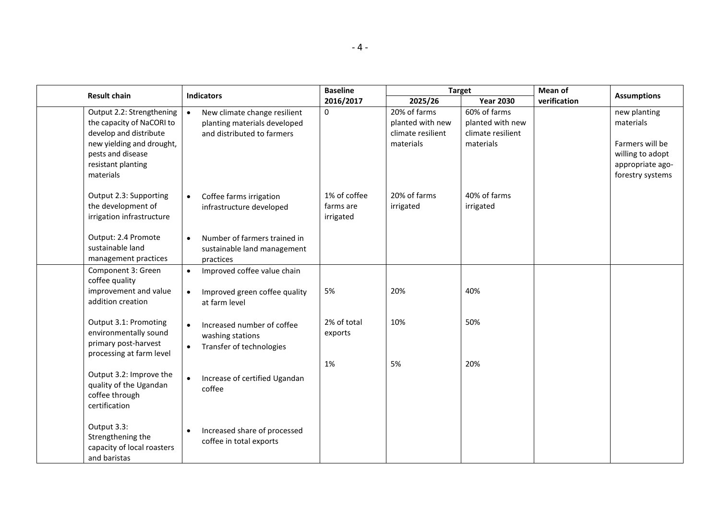|                                                                                                                                                                       |                                                                                                         | <b>Baseline</b>                        |                                                                    | <b>Target</b>                                                      | Mean of      |                                                                                                          |
|-----------------------------------------------------------------------------------------------------------------------------------------------------------------------|---------------------------------------------------------------------------------------------------------|----------------------------------------|--------------------------------------------------------------------|--------------------------------------------------------------------|--------------|----------------------------------------------------------------------------------------------------------|
| <b>Result chain</b>                                                                                                                                                   | <b>Indicators</b>                                                                                       | 2016/2017                              | 2025/26                                                            | <b>Year 2030</b>                                                   | verification | <b>Assumptions</b>                                                                                       |
| Output 2.2: Strengthening<br>the capacity of NaCORI to<br>develop and distribute<br>new yielding and drought,<br>pests and disease<br>resistant planting<br>materials | New climate change resilient<br>$\bullet$<br>planting materials developed<br>and distributed to farmers | 0                                      | 20% of farms<br>planted with new<br>climate resilient<br>materials | 60% of farms<br>planted with new<br>climate resilient<br>materials |              | new planting<br>materials<br>Farmers will be<br>willing to adopt<br>appropriate ago-<br>forestry systems |
| Output 2.3: Supporting<br>the development of<br>irrigation infrastructure                                                                                             | Coffee farms irrigation<br>$\bullet$<br>infrastructure developed                                        | 1% of coffee<br>farms are<br>irrigated | 20% of farms<br>irrigated                                          | 40% of farms<br>irrigated                                          |              |                                                                                                          |
| Output: 2.4 Promote<br>sustainable land<br>management practices                                                                                                       | Number of farmers trained in<br>$\bullet$<br>sustainable land management<br>practices                   |                                        |                                                                    |                                                                    |              |                                                                                                          |
| Component 3: Green<br>coffee quality<br>improvement and value<br>addition creation                                                                                    | Improved coffee value chain<br>$\bullet$<br>Improved green coffee quality<br>$\bullet$<br>at farm level | 5%                                     | 20%                                                                | 40%                                                                |              |                                                                                                          |
| Output 3.1: Promoting<br>environmentally sound<br>primary post-harvest<br>processing at farm level                                                                    | $\bullet$<br>Increased number of coffee<br>washing stations<br>Transfer of technologies<br>$\bullet$    | 2% of total<br>exports                 | 10%                                                                | 50%                                                                |              |                                                                                                          |
| Output 3.2: Improve the<br>quality of the Ugandan<br>coffee through<br>certification                                                                                  | Increase of certified Ugandan<br>$\bullet$<br>coffee                                                    | 1%                                     | 5%                                                                 | 20%                                                                |              |                                                                                                          |
| Output 3.3:<br>Strengthening the<br>capacity of local roasters<br>and baristas                                                                                        | Increased share of processed<br>$\bullet$<br>coffee in total exports                                    |                                        |                                                                    |                                                                    |              |                                                                                                          |